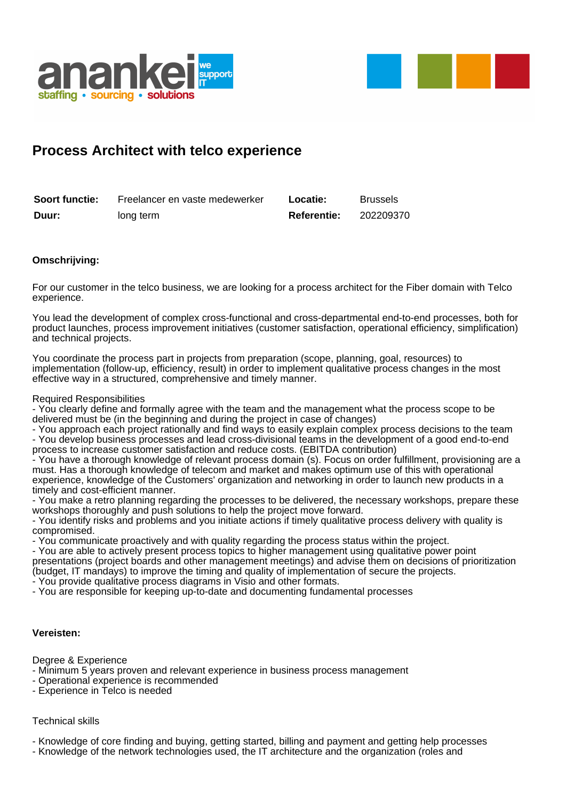



## **Process Architect with telco experience**

| <b>Soort functie:</b> | Freelancer en vaste medewerker | Locatie:           | <b>Brussels</b> |
|-----------------------|--------------------------------|--------------------|-----------------|
| Duur:                 | long term                      | <b>Referentie:</b> | 202209370       |

## **Omschrijving:**

For our customer in the telco business, we are looking for a process architect for the Fiber domain with Telco experience.

You lead the development of complex cross-functional and cross-departmental end-to-end processes, both for product launches, process improvement initiatives (customer satisfaction, operational efficiency, simplification) and technical projects.

You coordinate the process part in projects from preparation (scope, planning, goal, resources) to implementation (follow-up, efficiency, result) in order to implement qualitative process changes in the most effective way in a structured, comprehensive and timely manner.

Required Responsibilities

- You clearly define and formally agree with the team and the management what the process scope to be delivered must be (in the beginning and during the project in case of changes)

- You approach each project rationally and find ways to easily explain complex process decisions to the team - You develop business processes and lead cross-divisional teams in the development of a good end-to-end process to increase customer satisfaction and reduce costs. (EBITDA contribution)

- You have a thorough knowledge of relevant process domain (s). Focus on order fulfillment, provisioning are a must. Has a thorough knowledge of telecom and market and makes optimum use of this with operational experience, knowledge of the Customers' organization and networking in order to launch new products in a timely and cost-efficient manner.

- You make a retro planning regarding the processes to be delivered, the necessary workshops, prepare these workshops thoroughly and push solutions to help the project move forward.

- You identify risks and problems and you initiate actions if timely qualitative process delivery with quality is compromised.

- You communicate proactively and with quality regarding the process status within the project.

- You are able to actively present process topics to higher management using qualitative power point presentations (project boards and other management meetings) and advise them on decisions of prioritization (budget, IT mandays) to improve the timing and quality of implementation of secure the projects.

- You provide qualitative process diagrams in Visio and other formats.

- You are responsible for keeping up-to-date and documenting fundamental processes

## **Vereisten:**

Degree & Experience

- Minimum 5 years proven and relevant experience in business process management

- Operational experience is recommended
- Experience in Telco is needed

## Technical skills

- Knowledge of core finding and buying, getting started, billing and payment and getting help processes

- Knowledge of the network technologies used, the IT architecture and the organization (roles and